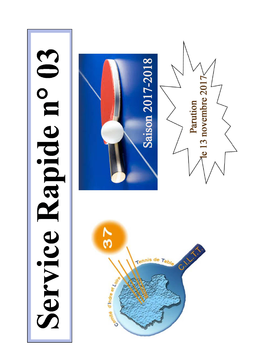# Service Rapide n° 03

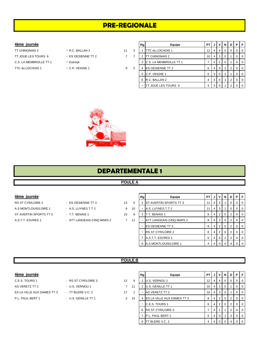# **PRE-REGIONALE**

# **4ème journée**

TT CHINONAIS 2 - R.C. BALLAN 2 11 3 TT JOUE LES TOURS 6 - ES OESIENNE TT 2 2 10 2 10 10 11 2 C.S. LA MEMBROLLE TT 1 - Exempt TTC du LOCHOIS 1 - C.P. VEIGNE 1 9 5

- 
- 
- 
- 
- 
- 

|   | Rg | Equipe                  | PT | J | v        | N        | D | Р | F |
|---|----|-------------------------|----|---|----------|----------|---|---|---|
|   |    | TTC du LOCHOIS 1        | 12 | 4 | 4        | $\Omega$ | 0 | 0 | 0 |
|   | 2  | TT CHINONAIS 2          | 10 | 4 | 3        | 0        | 1 | 0 | 0 |
|   | 3  | C.S. LA MEMBROLLE TT 1  | 7  | 3 | 2        | $\Omega$ | 1 | 0 | 0 |
| 5 | 4  | <b>ES OESIENNE TT 2</b> | 6  | 4 | $\Omega$ | 2        | 2 | 0 | 0 |
|   | 5  | C.P. VEIGNE 1           | 5  | 3 | $\Omega$ | 2        | 1 | 0 | 0 |
|   | 6  | R.C. BALLAN 2           | 4  | 3 | $\Omega$ | 1        | 2 | 0 | 0 |
|   |    | TT JOUE LES TOURS 6     | 4  | 3 | $\Omega$ |          | 2 | ŋ | U |
|   |    |                         |    |   |          |          |   |   |   |



# **DEPARTEMENTALE 1**

# **POULE A**

# **4ème journée**

RS ST CYR/LOIRE 2 - ES OESIENNE TT 3 13 5 A.S MONTLOUIS/LOIRE 1 - A.S. LUYNES T.T 2 8 10 ST AVERTIN SPORTS TT 3 - T.T. BENAIS 1 10 8

- 
- 
- A.S.T.T. ESVRES 1 ATT LANGEAIS-CINQ MARS 2 2 2 1

|    | Rg | Equipe                        | PT |   | v              | N        | D              | Р        | F        |
|----|----|-------------------------------|----|---|----------------|----------|----------------|----------|----------|
| 5  |    | <b>ST AVERTIN SPORTS TT 3</b> | 11 | 4 | 3              |          | O              | 0        | $\Omega$ |
| C  |    | A.S. LUYNES T.T 2             | 11 | 4 | 3              |          | 0              | 0        | 0        |
| B. | 3  | T.T. BENAIS 1                 | 8  | 4 | $\overline{2}$ | 0        | 2              | 0        | $\Omega$ |
| 1  |    | ATT LANGEAIS-CINQ MARS 2      | 8  | 4 | 2              | $\Omega$ | 2              | 0        | 0        |
|    |    | <b>ES OESIENNE TT 3</b>       | 8  | 4 | $\overline{2}$ | $\Omega$ | 2              | $\Omega$ | 0        |
|    |    | <b>RS ST CYR/LOIRE 2</b>      | 8  | 4 | 2              | 0        | $\overline{2}$ | $\Omega$ | $\Omega$ |
|    |    | A.S.T.T. ESVRES 1             | 6  | 4 | $\Omega$       | 2        | 2              | 0        | $\Omega$ |
|    | 8  | A.S MONTLOUIS/LOIRE 1         | 4  | 4 |                |          | 4              |          | 0        |

# **POULE B**

| 4ème journée |  |
|--------------|--|

| <b>RS ST CYR/LOIRE 3</b> |
|--------------------------|
| - U.S. VERNOU 1          |
| - TT BLERE V.C. 2        |
| - U.S. GENILLE TT 1      |
|                          |

|   | U.S. VERNOU 1         |
|---|-----------------------|
|   | U.S. GENILLE TT 1     |
|   | AS VERETZ TT 2        |
| 4 | ES LA VILLE AUX DAMES |
|   | C.E.S. TOURS 1        |
|   |                       |

| 4ème journée               |                     |                 |    | Rg | Equipe                            | PT I            | J              | νI             | <b>N</b>       | D              | PIF            |         |
|----------------------------|---------------------|-----------------|----|----|-----------------------------------|-----------------|----------------|----------------|----------------|----------------|----------------|---------|
| C.E.S. TOURS 1             | - RS ST CYR/LOIRE 3 | 12 <sup>2</sup> | 6  |    | U.S. VERNOU 1                     | 12 I            | 4              | 4              | 0              | 0              |                | $01$ 0  |
| AS VERETZ TT 2             | - U.S. VERNOU 1     | $\overline{7}$  | 11 |    | U.S. GENILLE TT 1                 | 10 <sub>1</sub> | 4 <sup>1</sup> | -3             | - 0            |                |                | $0$   0 |
| ES LA VILLE AUX DAMES TT 3 | - TT BLERE V.C. 2   | 17              |    |    | AS VERETZ TT 2                    | 10 <sub>1</sub> | 4 <sup>1</sup> | 3 <sup>1</sup> |                |                |                | 0 0     |
| P.L. PAUL BERT 1           | - U.S. GENILLE TT 1 | 3               | 15 | 4  | <b>ES LA VILLE AUX DAMES TT 3</b> | 8               | 4 <sup>1</sup> |                |                | 2              |                | $01$ 0  |
|                            |                     |                 |    |    | C.E.S. TOURS 1                    | 8               | 4              | - 2 I          | $\mathbf 0$    | 2              |                | $0$   0 |
|                            |                     |                 |    |    | 6 RS ST CYR/LOIRE 3               |                 | 4              |                |                | $\overline{2}$ |                | $0$   0 |
|                            |                     |                 |    |    | P.L. PAUL BERT 1                  | 5               | 4              |                |                | 3              | 0 <sup>1</sup> |         |
|                            |                     |                 |    | 8  | TT BLERE V.C. 2                   | 4               |                | 4 0            | $\overline{0}$ | 4              | 0 <sup>1</sup> |         |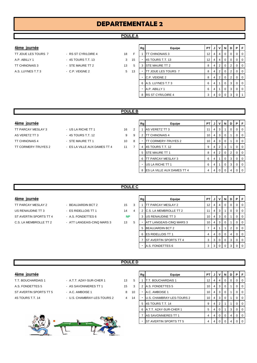# **DEPARTEMENTALE 2**

# **POULE A**

- 
- -
- -
- **4ème journée Rg Equipe PT J V N D P F** TT JOUE LES TOURS 7 - RS ST CYR/LOIRE 4 18 F 1 TT CHINONAIS 3 12 4 4 0 0 0 0 A.P. ABILLY 1 - 4S TOURS T.T. 13 3 15 - 4S TOURS T.T. 13 4 | 4 | 0 | 0 | 0 | 0 TT CHINONAIS 3 - STE MAURE TT 2 13 5 3 STE MAURE TT 2 8 4 2 0 2 0 0 A.S. LUYNES T.T 3 - C.P. VEIGNE 2 5 13 - TT JOUE LES TOURS 7 8 4 2 0 2 0  $C.P.$  VEIGNE 2  $8 |4 |2 |0 |2 |0$ 6 A.S. LUYNES T.T 3 6 4 1 0 3 0 0 A.P. ABILLY 1 6 4 1 0 3 0 0 8 RS ST CYR/LOIRE 4 3 4 0 0 3 0

# **POULE B**

### **4ème journée**

- AS VERETZ TT 3  $-4$ S TOURS T.T. 12 9 9 TT CHINONAIS 4 - STE MAURE TT 1 10 8 TT CORMERY-TRUYES 2 - ES LA VILLE AUX DAMES TT 4 4 4 11 12
- TT PARCAY MESLAY 3 US LA RICHE TT 1 16 2
	-

| Rg | Equipe                     | PТ |   | ν | N        | D | Р        | F        |
|----|----------------------------|----|---|---|----------|---|----------|----------|
| 1  | <b>AS VERETZ TT 3</b>      | 11 | 4 | 3 |          | 0 | 0        | 0        |
| 2  | <b>TT CHINONAIS 4</b>      | 10 | 4 | 3 | $\Omega$ |   | O        | 0        |
|    | <b>TT CORMERY-TRUYES 2</b> | 10 | 4 | 3 | $\Omega$ |   | O        | 0        |
| 4  | 4S TOURS T.T. 12           | 9  | 4 | 2 |          |   | O        | $\Omega$ |
| 5  | <b>STE MAURE TT 1</b>      | 8  | 4 | 2 | $\Omega$ | 2 | 0        | $\Omega$ |
| 6  | TT PARCAY MESLAY 3         | 6  | 4 |   | $\Omega$ | 3 | $\Omega$ | $\Omega$ |
|    | US LA RICHE TT 1           | 6  | 4 |   | 0        | 3 | $\Omega$ | $\Omega$ |
| 8  | ES LA VILLE AUX DAMES TT 4 | 4  |   |   | O        | 4 | U        |          |

# **POULE C**

**POULE D**

| 4ème journée |  |
|--------------|--|
|              |  |

- US RENAUDINE TT 3 ES RIDELLOIS TT 1 14 ST AVERTIN SPORTS TT 4 - A.S. FONDETTES 6 C.S. LA MEMBROLLE TT 2 - ATT LANGEAIS-CINQ MARS 3 13
- TT PARCAY MESLAY 2 BEAUJARDIN BCT 2 15
	- -

| 4ème journée           |                            |           |   | Rg | Equipe                         | <b>PT</b> | J | $\mathsf{v}$ |          |                | <b>NIDIPIF</b> |                          |
|------------------------|----------------------------|-----------|---|----|--------------------------------|-----------|---|--------------|----------|----------------|----------------|--------------------------|
| TT PARCAY MESLAY 2     | - BEAUJARDIN BCT 2         | 15        | 3 |    | IT PARCAY MESLAY 2             | 12        | 4 | 4            |          |                |                | ΙO                       |
| US RENAUDINE TT 3      | - ES RIDELLOIS TT 1        | 14        | 4 |    | <b>C.S. LA MEMBROLLE TT 2</b>  | 11        | 4 | 3            |          |                |                | ΙO                       |
| ST AVERTIN SPORTS TT 4 | - A.S. FONDETTES 6         | <b>NP</b> |   |    | 3 US RENAUDINE TT 3            | 10        |   | 4 3 1        |          |                |                | I O                      |
| C.S. LA MEMBROLLE TT 2 | - ATT LANGEAIS-CINQ MARS 3 | 13        | 5 |    | ATT LANGEAIS-CINQ MARS 3       | 10        |   | 4 3 1        |          |                |                | I O                      |
|                        |                            |           |   |    | 5 BEAUJARDIN BCT 2             |           | 4 |              |          | 2 <sup>1</sup> |                | I O                      |
|                        |                            |           |   |    | 6 <b>ES RIDELLOIS TT 1</b>     | 4         |   | 4 0          | $\Omega$ | 4 I            |                | $\overline{\phantom{0}}$ |
|                        |                            |           |   |    | <b>IST AVERTIN SPORTS TT 4</b> | 3         |   | 3   0        | $\Omega$ | $\overline{3}$ |                | $\overline{\phantom{0}}$ |
|                        |                            |           |   |    | A.S. FONDETTES 6               | 3         |   | 300          |          | 3 I            |                | $\overline{0}$           |

# **4ème journée**

- 
- T.T. BOUCHARDAIS 1 A.T.T. AZAY-SUR-CHER 1 13 5 A.S. FONDETTES 5 - AS SAVONNIERES TT 1 45 3 ST AVERTIN SPORTS TT 5 - A.C. AMBOISE 1 3 40
- 4S TOURS T.T. 14 U.S. CHAMBRAY-LES-TOURS 2 4 14



| Rg             | Equipe                    | <b>PT</b> | J | v        | N        | D        | Р        | F |
|----------------|---------------------------|-----------|---|----------|----------|----------|----------|---|
| 1              | T.T. BOUCHARDAIS 1        | 12        | 4 | 4        | $\Omega$ | $\Omega$ | $\Omega$ | 0 |
| $\overline{2}$ | A.S. FONDETTES 5          | 10        | 4 | 3        | 0        |          | $\Omega$ | 0 |
|                | A.C. AMBOISE 1            | 10        | 4 | 3        | $\Omega$ |          | $\Omega$ | 0 |
|                | U.S. CHAMBRAY-LES-TOURS 2 | 10        | 4 | 3        | $\Omega$ | 1        | $\Omega$ | 0 |
| 5              | 4S TOURS T.T. 14          | 9         | 4 | 2        | 1        | 1        | $\Omega$ | 0 |
| 6              | A.T.T. AZAY-SUR-CHER 1    | 5         | 4 | $\Omega$ | 1        | 3        | $\Omega$ | 0 |
| 7              | AS SAVONNIERES TT 1       | 4         | 4 | $\Omega$ | 0        | 4        | $\Omega$ | 0 |
|                | ST AVERTIN SPORTS TT 5    | 4         | 4 |          | 0        | 4        | 0        | O |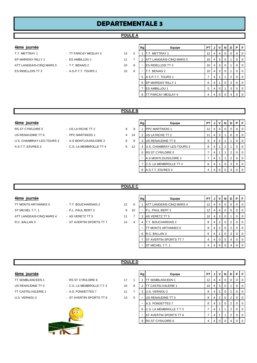# **DEPARTEMENTALE 3**

# **POULE A**

# **4ème journée**

EP MARIGNY RILLY 1 - ES AMBILLOU 1 11 ATT LANGEAIS-CINQ MARS 5 - T.T. BENAIS 2 10 ES RIDELLOIS TT 3 - A.S.P.T.T. TOURS 1 10

T.T. METTRAY 1 **13** - TT PARCAY MESLAY 4 13

|   | Rg | Equipe                   | PT | J | v        | N        | D | Р        | F        |
|---|----|--------------------------|----|---|----------|----------|---|----------|----------|
| 5 | 1  | T.T. METTRAY 1           | 12 | 4 | 4        | 0        | 0 | 0        | $\Omega$ |
| 7 | 2  | ATT LANGEAIS-CINQ MARS 5 | 10 | 4 | 3        | $\Omega$ | 1 | 0        | $\Omega$ |
| 8 |    | <b>ES RIDELLOIS TT 3</b> | 10 | 4 | 3        | 0        | 1 | $\Omega$ | $\Omega$ |
| 8 |    | T.T. BENAIS 2            | 10 | 4 | 3        | 0        | 1 | $\Omega$ | $\Omega$ |
|   | 5  | A.S.P.T.T. TOURS 1       | 7  | 4 | 1        | 1        | 2 | 0        | $\Omega$ |
|   | 6  | EP MARIGNY RILLY 1       | 6  | 4 | 1        | $\Omega$ | 3 | $\Omega$ | $\Omega$ |
|   | 7  | <b>ES AMBILLOU 1</b>     | 5  | 4 | $\Omega$ | 1        | 3 | $\Omega$ | $\Omega$ |
|   | 8  | TT PARCAY MESLAY 4       | 4  | 4 | 0        | 0        | 4 | 0        | $\Omega$ |

# **POULE B**

# **4ème journée**

US RENAUDINE TT 6 - PPC MARTINOIS 1 4 14 U.S. CHAMBRAY-LES-TOURS 3 - A.S MONTLOUIS/LOIRE 2 9 A.S.T.T. ESVRES 3 - C.S. LA MEMBROLLE TT 4 6 12

RS ST CYR/LOIRE 5 - US LA RICHE TT 2 9

|   | Rg             | Equipe                    | PT | J              | v | N | D              | Р        | F        |
|---|----------------|---------------------------|----|----------------|---|---|----------------|----------|----------|
| 9 | 1              | <b>PPC MARTINOIS 1</b>    | 12 | 4              | 4 | 0 | $\Omega$       | 0        | $\Omega$ |
| 4 | $\mathfrak{p}$ | US LA RICHE TT 2          | 11 | 4              | 3 | 1 | $\Omega$       | 0        | 0        |
| 9 | 3              | US RENAUDINE TT 6         | 9  | 4              | 2 | 1 | 1              | 0        | 0        |
| 2 | 4              | U.S. CHAMBRAY-LES-TOURS 3 | 8  | $\overline{4}$ | 1 | 2 | 1              | 0        | 0        |
|   | 5              | <b>RS ST CYR/LOIRE 5</b>  | 7  | 4              | 1 | 1 | 2              | $\Omega$ | $\Omega$ |
|   |                | A.S MONTLOUIS/LOIRE 2     | 7  | 4              | 1 | 1 | $\overline{2}$ | $\Omega$ | $\Omega$ |
|   | 7              | C.S. LA MEMBROLLE TT 4    | 6  | 4              | 1 | 0 | 3              | 0        | $\Omega$ |
|   | 8              | A.S.T.T. ESVRES 3         | 4  | $\overline{4}$ | O | O | 4              | O        | U        |

### **POULE C**

| 4ème iournée |
|--------------|
|              |

| 4ème journée             |                          |                   |    | Rg | Equipe                        | <b>PT</b> | v | N.       | D I | PFI       |
|--------------------------|--------------------------|-------------------|----|----|-------------------------------|-----------|---|----------|-----|-----------|
| TT MONTS ARTANNES 5      | - T.T. BOUCHARDAIS 2     | $12 \overline{ }$ | 6  |    | ATT LANGEAIS-CINQ MARS 4      | 12        | 4 | 0        |     | $0$   $0$ |
| ST MICHEL T.T. 1         | - P.L. PAUL BERT 2       | 8                 | 10 |    | P.L. PAUL BERT 2              | 12        | 4 | 0        |     | $0$   $0$ |
| ATT LANGEAIS-CINQ MARS 4 | - AS VERETZ TT 5         | 11                |    | 3  | AS VERETZ TT 5                | 10        | 3 | $\Omega$ |     | $0$   $0$ |
| R.C. BALLAN 3            | - ST AVERTIN SPORTS TT 7 | 14                | 4  |    | T.T. BOUCHARDAIS 2            | 8         | 2 | 0        |     | $0$   $0$ |
|                          |                          |                   |    |    | TT MONTS ARTANNES 5           | 8         |   | $\Omega$ | 2   | $0$   $0$ |
|                          |                          |                   |    |    | 6 R.C. BALLAN 3               | 6         |   | $\Omega$ | 3   | $0$   $0$ |
|                          |                          |                   |    |    | <b>ST AVERTIN SPORTS TT 7</b> | 4         |   | $\Omega$ | 4   | $0$   $0$ |
|                          |                          |                   |    |    | <b>ST MICHEL T.T. 1</b>       | 4         |   | $\Omega$ | 4   | $0$   $0$ |

# **POULE D**

| 4ème iournée |  |
|--------------|--|
|              |  |
|              |  |

- 
- -



| 4ème journée       |                           |    |                          | Rg | Equipe                         | PT I            | J | V              | N I            | D I            | PIF            |  |
|--------------------|---------------------------|----|--------------------------|----|--------------------------------|-----------------|---|----------------|----------------|----------------|----------------|--|
| TT SEMBLANCEEN 1   | - RS ST CYR/LOIRE 6       | 17 |                          |    | <b>SEMBLANCEEN 1</b>           | 12 <sub>1</sub> | 4 | 4              | 0              | $\Omega$       | 0 <sup>1</sup> |  |
| US RENAUDINE TT 5  | - C.S. LA MEMBROLLE T.T 3 | 10 | 8                        |    | CASTELVALERIE 1                | 10 <sub>l</sub> | 4 | -3             | 0              |                | 0 <sup>1</sup> |  |
| TT CASTELVALERIE 1 | - A.S. FONDETTES 7        | 11 | $\overline{\phantom{a}}$ | з  | U.S. VERNOU 2                  | 8               | 4 | $\overline{2}$ | $\mathbf{0}$   | 2 <sup>1</sup> | 0 <sup>0</sup> |  |
| U.S. VERNOU 2      | - ST AVERTIN SPORTS TT 6  | 13 | 5                        |    | US RENAUDINE TT 5              | 8               | 4 | 2              | $\overline{0}$ | 2 <sub>1</sub> | 0 <sup>1</sup> |  |
|                    |                           |    |                          |    | A.S. FONDETTES 7               | 8               | 4 | $\overline{2}$ | $\mathbf 0$    | 2 <sup>1</sup> | 0 <sup>1</sup> |  |
|                    |                           |    |                          | 6  | <b>C.S. LA MEMBROLLE T.T 3</b> |                 | 4 |                |                | 2 <sub>1</sub> | 0 <sup>0</sup> |  |
|                    | $\bullet$                 |    |                          |    | <b>ST AVERTIN SPORTS TT 6</b>  |                 | 4 |                |                | 2 <sub>1</sub> | 0 <sup>1</sup> |  |
|                    |                           |    |                          | 8  | <b>RS ST CYR/LOIRE 6</b>       |                 | 4 |                | $\Omega$       | $\overline{4}$ | 0 <sub>0</sub> |  |
|                    |                           |    |                          |    |                                |                 |   |                |                |                |                |  |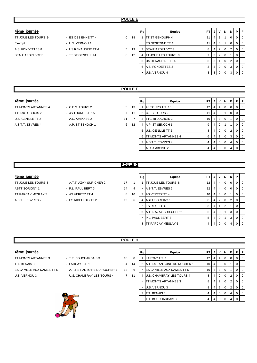- TT JOUE LES TOURS 9 ES OESIENNE TT 4 0 16 Exempt - U.S. VERNOU 4 A.S. FONDETTES 8 - US RENAUDINE TT 4 5 13 BEAUJARDIN BCT 3 - TT ST GENOUPH 4 6 1
- -
	-

| 4ème journée            |                     |   | Rg      | Equipe                     | PT I |                | JIVI  | <b>N</b> | D.             | PIF            |                |
|-------------------------|---------------------|---|---------|----------------------------|------|----------------|-------|----------|----------------|----------------|----------------|
| TT JOUE LES TOURS 9     | - ES OESIENNE TT 4  | 0 | 18      | <b>ITT ST GENOUPH 4</b>    | 11 I |                | 4 3   |          | 0              |                | $01$ 0         |
| Exempt                  | - U.S. VERNOU 4     |   | -       | <b>ES OESIENNE TT 4</b>    | 11   | 4 I            | 3     |          |                |                | $\overline{0}$ |
| A.S. FONDETTES 8        | - US RENAUDINE TT 4 | 5 | 13<br>3 | <b>BEAUJARDIN BCT 3</b>    | 8    |                | 4   2 | $\Omega$ | $\overline{2}$ | 0 <sub>0</sub> |                |
| <b>BEAUJARDIN BCT 3</b> | - TT ST GENOUPH 4   | 6 | 12<br>4 | <b>TT JOUE LES TOURS 9</b> |      | 3 <sub>l</sub> | 2     |          |                |                | l O            |
|                         |                     |   |         | 5 US RENAUDINE TT 4        | 5    | 3 I            |       | $\Omega$ | -2             |                | 0 <sub>0</sub> |
|                         |                     |   |         | 6 A.S. FONDETTES 8         | 3    |                | 3 0   | $\Omega$ | 3              | 0 <sub>0</sub> |                |
|                         |                     |   |         | U.S. VERNOU 4              | 3    |                | 30    |          |                |                | $01$ 0         |
|                         |                     |   |         |                            |      |                |       |          |                |                |                |

# **POULE F**

| 4ème lournee |
|--------------|
|              |
|              |

- 
- TT MONTS ARTANNES 4 C.E.S. TOURS 2 5 13 TTC du LOCHOIS 2 - 4S TOURS T.T. 15 7 1 U.S. GENILLE TT 2 - A.C. AMBOISE 2 11 A.S.T.T. ESVRES 4 - A.P. ST SENOCH 1 6 12

| 4ème journée        |                    |                |    | Rg | Equipe                     | PT I            | J              | V I            | <b>N</b> | D | PF |                |
|---------------------|--------------------|----------------|----|----|----------------------------|-----------------|----------------|----------------|----------|---|----|----------------|
| TT MONTS ARTANNES 4 | $-C.E.S. TOUNS 2$  | 5              | 13 |    | 4S TOURS T.T. 15           | 12 <sub>1</sub> | 4              | -4             | 0        | 0 |    | $01$ 0         |
| TTC du LOCHOIS 2    | - 4S TOURS T.T. 15 | $\overline{7}$ | 11 |    | C.E.S. TOURS 2             | 11 <sup>1</sup> | $\overline{4}$ | 3              |          | 0 |    | $01$ 0         |
| U.S. GENILLE TT 2   | - A.C. AMBOISE 2   | 11             |    | 3  | TTC du LOCHOIS 2           |                 | 10   4   3     |                | 0        |   |    | $0$   0        |
| A.S.T.T. ESVRES 4   | - A.P. ST SENOCH 1 | 6              | 12 | 4  | A.P. ST SENOCH 1           | 9               | 4              |                |          |   |    | $01$ 0         |
|                     |                    |                |    |    | 5 U.S. GENILLE TT 2        | 8               | 4              | $2 \cdot$      | 0        | 2 |    | $0$   0        |
|                     |                    |                |    | 6  | <b>TT MONTS ARTANNES 4</b> | 6               | $\overline{4}$ |                | 0        | 3 |    | 0 <sup>1</sup> |
|                     |                    |                |    |    | A.S.T.T. ESVRES 4          | 4               | 4              | $\overline{0}$ | $\Omega$ | 4 |    | 0 <sup>1</sup> |
|                     |                    |                |    |    | A.C. AMBOISE 2             |                 |                |                |          |   |    | $\Omega$   0   |

# **POULE G**

# **4ème journée**

- TT JOUE LES TOURS 8 A.T.T. AZAY-SUR-CHER 2 17 1 TT PARCAY MESLAY 5 - AS VERETZ TT 4 3 AS 10 A.S.T.T. ESVRES 2 - ES RIDELLOIS TT 2 12 6
- ASTT SORIGNY 1 P.L. PAUL BERT 3 14 4
	-
	-

|   | Rg | Equipe                   | PT | J | v        | N              | D        | P | F        |
|---|----|--------------------------|----|---|----------|----------------|----------|---|----------|
|   |    | TT JOUE LES TOURS 8      | 12 | 4 | 4        | 0              | $\Omega$ | O | $\Omega$ |
|   |    | A.S.T.T. ESVRES 2        | 12 | 4 | 4        | 0              | $\Omega$ | O | $\Omega$ |
|   | 3  | <b>AS VERETZ TT 4</b>    | 10 | 4 | 3        | $\Omega$       | 1        | O | $\Omega$ |
| š | 4  | <b>ASTT SORIGNY 1</b>    | 8  | 4 | 2        | $\Omega$       | 2        | O | $\Omega$ |
|   |    | <b>ES RIDELLOIS TT 2</b> | 8  | 4 |          | $\overline{2}$ | 1        | O | $\Omega$ |
|   | 6  | A.T.T. AZAY-SUR-CHER 2   | 5  | 4 | $\Omega$ |                | 3        | O | 0        |
|   |    | P.L. PAUL BERT 3         | 5  | 4 | $\Omega$ | 1              | 3        | 0 | $\Omega$ |
|   | 8  | TT PARCAY MESLAY 5       | 4  | 4 | ŋ        | O              | 4        |   |          |
|   |    |                          |    |   |          |                |          |   |          |

# **POULE H**

# **4ème journée**

- TT MONTS ARTANNES 3 T.T. BOUCHARDAIS 3 18 0 T.T. BENAIS 3 - LARCAY T.T. 1 4 14 ES LA VILLE AUX DAMES TT 5 - A.T.T.ST ANTOINE DU ROCHER 1 12 6 U.S. VERNOU 3 - U.S. CHAMBRAY-LES-TOURS 4 2 11
	-
	-
	- -

|   | Rg | Equipe                       | PT | J | v              | N        | D | Р | F |
|---|----|------------------------------|----|---|----------------|----------|---|---|---|
| J |    | LARCAY T.T. 1                | 12 | 4 | 4              | 0        | 0 | O | 0 |
| 1 | 2  | A.T.T.ST ANTOINE DU ROCHER 1 | 10 | 4 | 3              | $\Omega$ | 1 | 0 | 0 |
| ś | -  | ES LA VILLE AUX DAMES TT 5   | 10 | 4 | 3              | $\Omega$ |   | 0 | 0 |
|   | 4  | U.S. CHAMBRAY-LES-TOURS 4    | 8  | 4 | $\overline{2}$ | 0        | 2 | 0 | 0 |
|   |    | TT MONTS ARTANNES 3          | 8  | 4 | $\overline{2}$ | $\Omega$ | 2 | 0 | 0 |
|   |    | U.S. VERNOU 3                | 8  | 4 | $\overline{2}$ | $\Omega$ | 2 | 0 | 0 |
|   | 7  | T.T. BENAIS 3                | 4  | 4 | 0              | $\Omega$ | 4 | O | 0 |
|   |    | T.T. BOUCHARDAIS 3           | 4  | 4 | $\Omega$       | 0        | 4 | O | O |



- 
- -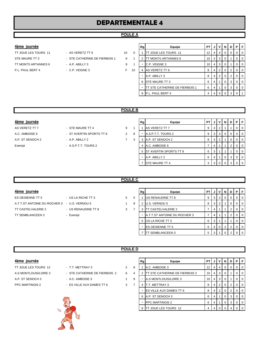# **DEPARTEMENTALE 4**

# **POULE A**

# **4ème journée**

TT MONTS ARTANNES 6 - A.P. ABILLY 3 9 1 P.L. PAUL BERT 4 - C.P. VEIGNE 3 F 10

- TT JOUE LES TOURS 11 AS VERETZ TT 6 10 10 0 STE MAURE TT 3 - STE CATHERINE DE FIERBOIS 1 9 1
	-
- 
- 
- 

| Rg             | Equipe                         | PT            | J | v        | N        | D | Ρ        | F        |
|----------------|--------------------------------|---------------|---|----------|----------|---|----------|----------|
| 1              | TT JOUE LES TOURS 11           | 12            | 4 | 4        | 0        | 0 | $\Omega$ | $\Omega$ |
| $\overline{2}$ | TT MONTS ARTANNES 6            | 10            | 4 | 3        | 0        | 1 | 0        | $\Omega$ |
| $\blacksquare$ | C.P. VEIGNE 3                  | 10            | 4 | 3        | 0        | 1 | 0        | $\Omega$ |
| 4              | AS VERETZ TT 6                 | 8             | 4 | 2        | $\Omega$ | 2 | 0        | $\Omega$ |
|                |                                | 8             | 4 | 2        | 0        | 2 | 0        | $\Omega$ |
| 6              | <b>STE MAURE TT 3</b>          | 6             | 4 | 1        | 0        | 3 | 0        | $\Omega$ |
| -              | TT STE CATHERINE DE FIERBOIS 1 | 6             | 4 | 1        | 0        | 3 | 0        | $\Omega$ |
| 8              | P.L. PAUL BERT 4               | 3             | 4 | $\Omega$ | 0        | 3 | 0        | 1        |
|                |                                | A.P. ABILLY 3 |   |          |          |   |          |          |

# **POULE B**

| 4ème journée     |                          |                |   | Rg | Equipe                   | PTIJI |                | VIN |                | D I | <b>P</b> IF    |
|------------------|--------------------------|----------------|---|----|--------------------------|-------|----------------|-----|----------------|-----|----------------|
| AS VERETZ TT 7   | - STE MAURE TT 4         | 9              |   |    | AS VERETZ TT 7           | 9     | 4              |     |                |     | $\overline{0}$ |
| A.C. AMBOISE 6   | - ST AVERTIN SPORTS TT 8 | $\overline{2}$ | 8 |    | A.S.P.T.T. TOURS 2       |       | 3 I            | 3   | $\overline{0}$ | 0   | $01$ 0         |
| A.P. ST SENOCH 2 | - A.P. ABILLY 2          |                | 3 |    | A.P. ST SENOCH 2         | 8     | -3 I           | '2. |                | 0   | 0 0            |
| Exempt           | - A.S.P.T.T. TOURS 2     |                |   |    | 4 A.C. AMBOISE 6         |       | 4              |     |                |     | 0 <sup>1</sup> |
|                  |                          |                |   |    | 5 ST AVERTIN SPORTS TT 8 | 6     | 3              |     |                |     | $\overline{0}$ |
|                  |                          |                |   |    | A.P. ABILLY 2            | 6     | $\overline{4}$ |     | 0              | 3   | $01$ 0         |
|                  |                          |                |   |    | <b>STE MAURE TT 4</b>    |       | 300            |     |                | 3   | $0$   0        |

# **POULE C**

| 4ème journee |
|--------------|
|              |

- ES OESIENNE TT 5 US LA RICHE TT 3 5 A.T.T.ST ANTOINE DU ROCHER 3 - U.S. VERNOU 5 1 9 2 U.S. VERNOU 5 8 3 2 1 0 0 0 TT CASTELVALERIE 2 - US RENAUDINE TT 8 3 TT SEMBLANCEEN 3 - Exempt
- 

| 4ème journée                                      |                     |   |   | Rg | Equipe                              | PT I |                | JVNI           |          | D           | PF             |                |
|---------------------------------------------------|---------------------|---|---|----|-------------------------------------|------|----------------|----------------|----------|-------------|----------------|----------------|
| ES OESIENNE TT 5                                  | - US LA RICHE TT 3  | 5 | 5 |    | US RENAUDINE TT 8                   | 9    |                | 3 3 1          | - 0      | 0           | $01$ 0         |                |
| A.T.T.ST ANTOINE DU ROCHER 3     -  U.S. VERNOU 5 |                     |   | 9 |    | U.S. VERNOU 5                       | 8    | 3 <sup>1</sup> |                |          | $\mathbf 0$ | $01$ 0         |                |
| TT CASTELVALERIE 2                                | - US RENAUDINE TT 8 | 3 |   |    | <b>TT CASTELVALERIE 2</b>           |      | 4              |                |          | 2           |                | <b>0</b>       |
| TT SEMBLANCEEN 3                                  | - Exempt            |   |   |    | <b>A.T.T.ST ANTOINE DU ROCHER 3</b> |      | 4              |                |          |             |                | $01$ 0         |
|                                                   |                     |   |   |    | 5 US LA RICHE TT 3                  | 6    | 3              |                |          |             | $\overline{0}$ | $\overline{0}$ |
|                                                   |                     |   |   | ۰. | <b>IES OESIENNE TT 5</b>            | 6    | $\overline{4}$ | $\overline{0}$ | -2       | 2           | $\overline{0}$ | $\overline{0}$ |
|                                                   |                     |   |   |    | <b>ITT SEMBLANCEEN 3</b>            | 5    | 3 I            |                | $\Omega$ | 2           | 0 <sub>0</sub> |                |

# **POULE D**

| 4ème | lournee |
|------|---------|
|      |         |

- A.P. ST SENOCH 3 A.C. AMBOISE 3 1 9 A.S MONTLOUIS/LOIRE 3 10 4 3 0 1 0 0 PPC MARTINOIS 2 - ES VILLE AUX DAMES TT 6 3
- TT JOUE LES TOURS 12 T.T. METTRAY 3 2
- A.S MONTLOUIS/LOIRE 3 STE CATHERINE DE FIERBOIS 2 6
	-
	-



| 4ème journée                                           |                               |   |   | Rg             | Equipe                                | PT I            |     | JIV            |                | <b>ND</b>      | PIF            |          |
|--------------------------------------------------------|-------------------------------|---|---|----------------|---------------------------------------|-----------------|-----|----------------|----------------|----------------|----------------|----------|
| TT JOUE LES TOURS 12<br>- T.T. METTRAY 3<br>2          |                               | 8 |   | A.C. AMBOISE 3 | 12 <sup>2</sup>                       | 4 I             | 4   | 0 <sup>0</sup> |                | 0 <sub>0</sub> |                |          |
| A.S MONTLOUIS/LOIRE 3                                  | - STE CATHERINE DE FIERBOIS 2 | 6 | 4 |                | <b>TT STE CATHERINE DE FIERBOIS 2</b> | 10 <sup>1</sup> | 4 I | 3              |                |                | $\overline{0}$ | $\Omega$ |
| A.P. ST SENOCH 3                                       | - A.C. AMBOISE 3              |   | 9 |                | A.S MONTLOUIS/LOIRE 3                 | 10 <sup>1</sup> | 4 I | 3              | 0              |                | $\overline{0}$ | $\Omega$ |
| PPC MARTINOIS 2<br>- ES VILLE AUX DAMES TT 6<br>∍<br>3 |                               |   |   | T.T. METTRAY 3 | 8                                     |                 | 2   | $\mathbf 0$    | $\overline{2}$ | $\overline{0}$ | $\Omega$       |          |
|                                                        |                               |   |   |                | <b>IES VILLE AUX DAMES TT 6</b>       | 8               | 4   | $\overline{2}$ | $\Omega$       | 2              | $\Omega$       | $\Omega$ |
|                                                        |                               |   |   |                | A.P. ST SENOCH 3                      | 6               |     |                | 0              | 3              | $\Omega$       | $\Omega$ |
|                                                        |                               |   |   |                | <b>PPC MARTINOIS 2</b>                | 6               |     |                |                | 3              | $\Omega$       | $\Omega$ |
| $\gamma_{\rm O}$                                       |                               |   |   |                | TT JOUE LES TOURS 12                  | 4               |     |                |                |                | $\Omega$       | $\Omega$ |
|                                                        |                               |   |   |                |                                       |                 |     |                |                |                |                |          |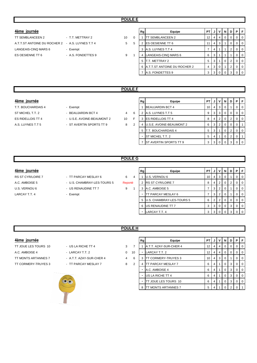# **POULE E**

| 4ème journee |  |
|--------------|--|
|              |  |

| TT SEMBLANCEEN 2                                 | - T.T. METTRAY 2   |
|--------------------------------------------------|--------------------|
| A.T.T.ST ANTOINE DU ROCHER 2 - A.S. LUYNES T.T 4 |                    |
| LANGEAIS-CINQ MARS 6                             | - Exempt           |
| ES OESIENNE TT 6                                 | - A.S. FONDETTES 9 |
|                                                  |                    |

| 4ème journée                                           |                    |    |          | Rg | Equipe                              | PT I            | . J . | V I            | NI          | D | PF             |                |
|--------------------------------------------------------|--------------------|----|----------|----|-------------------------------------|-----------------|-------|----------------|-------------|---|----------------|----------------|
| TT SEMBLANCEEN 2                                       | - T.T. METTRAY 2   | 10 | $\Omega$ |    | <b>ITT SEMBLANCEEN 2</b>            | 12 <sub>1</sub> |       | $\overline{4}$ | $\mathbf 0$ |   | 0 <sub>0</sub> |                |
| A.T.T.ST ANTOINE DU ROCHER 2         A.S. LUYNES T.T 4 |                    | 5  | 5        |    | <b>IES OESIENNE TT 6</b>            |                 | 4     |                |             |   | 0 <sup>1</sup> |                |
| LANGEAIS-CINQ MARS 6                                   | - Exempt           |    |          |    | 3 A.S. LUYNES T.T 4                 |                 |       |                |             | 2 |                | $01$ 0         |
| ES OESIENNE TT 6                                       | - A.S. FONDETTES 9 | 9  |          | 4  | LANGEAIS-CINQ MARS 6                | 6               | 3     |                |             |   | $\Omega$       | $\overline{0}$ |
|                                                        |                    |    |          | 5  | T.T. METTRAY 2                      | 5               |       |                |             | 2 |                | $01$ 0         |
|                                                        |                    |    |          |    | <b>A.T.T.ST ANTOINE DU ROCHER 2</b> | $\overline{4}$  | 3     |                |             |   |                | $\overline{0}$ |
|                                                        |                    |    |          |    | A.S. FONDETTES 9                    | 3 <sub>1</sub>  | -3 I  |                |             |   | $01$ 0         |                |
|                                                        |                    |    |          |    |                                     |                 |       |                |             |   |                |                |

# **POULE F**

# **4ème journée**

T.T. BOUCHARDAIS 4 - Exempt ST MICHEL T.T. 2 **BEAUJARDIN BCT 4** 4

- 
- 
- ES RIDELLOIS TT 4 U.S.E. AVOINE-BEAUMONT 2 10 F 3 ES RIDELLOIS TT 4 8 4 2 0 2 0 0
- A.S. LUYNES T.T 5  **ST AVERTIN SPORTS TT 9** 2 8

|   | Rg | Equipe                   | PT | J | v | N        | D | Р        | F        |
|---|----|--------------------------|----|---|---|----------|---|----------|----------|
|   |    | <b>BEAUJARDIN BCT 4</b>  | 10 | 4 | 3 | 0        |   | 0        | O        |
| 6 | 2  | A.S. LUYNES T.T 5        | 9  | 3 | 3 | $\Omega$ | 0 | 0        | $\Omega$ |
| Ė | 3  | <b>ES RIDELLOIS TT 4</b> | 8  | 4 | 2 | $\Omega$ | 2 | 0        | O        |
| 2 | 4  | U.S.E. AVOINE-BEAUMONT 2 | 6  | 3 | 2 | $\Omega$ | 0 | $\Omega$ |          |
|   | 5  | T.T. BOUCHARDAIS 4       | 5  | 3 | 1 | $\Omega$ | 2 | 0        | 0        |
|   |    | ST MICHEL T.T. 2         | 5  | 4 | 1 | $\Omega$ | 2 | $\Omega$ |          |
|   |    | ST AVERTIN SPORTS TT 9   | 3  | 3 | 0 | 0        | 3 | 0        | ∩        |

# **POULE G**

# **4ème journée**

- RS ST CYR/LOIRE 7 TT PARCAY MESLAY 6 4
	-
	-
	-

|       | 6       |  |
|-------|---------|--|
| JRS 5 | Reporté |  |

- 
- 
- 

| 4ème journée             |                             |         | Rg | Equipe                      | PT I | . J .          |                | VINIDI         | P | I F              |
|--------------------------|-----------------------------|---------|----|-----------------------------|------|----------------|----------------|----------------|---|------------------|
| <b>RS ST CYR/LOIRE 7</b> | - TT PARCAY MESLAY 6        | 6<br>4  |    | U.S. VERNOU 6               | 10   | -4             | 3 <sub>1</sub> |                |   | l O              |
| A.C. AMBOISE 5           | - U.S. CHAMBRAY-LES-TOURS 5 | Reporté |    | <b>RS ST CYR/LOIRE 7</b>    | 8    | 4              | $\overline{2}$ | $\overline{0}$ |   | ΙO               |
| U.S. VERNOU 6            | - US RENAUDINE TT 7         | 9       |    | A.C. AMBOISE 5              |      | 3 I            | 2 <sup>1</sup> |                |   | ΙO               |
| LARCAY T.T. 4            | - Exempt                    |         |    | <b>TT PARCAY MESLAY 6</b>   |      | 3              | 2 <sup>1</sup> |                |   | ΙO               |
|                          |                             |         |    | 5 U.S. CHAMBRAY-LES-TOURS 5 | 6    | 2 <sub>1</sub> | 2 <sub>1</sub> | 0 <sup>1</sup> |   | $\overline{1}$ 0 |
|                          |                             |         |    | 6 US RENAUDINE TT 7         | 3    | 3              | $\overline{0}$ | $\overline{0}$ |   | ΙO               |
|                          |                             |         |    | LARCAY T.T. 4               | 3    | 3              |                |                |   | ΙO               |

# **POULE H**

# **4ème journée**

- TT JOUE LES TOURS 10 US LA RICHE TT 4 3 A.C. AMBOISE 4 - LARCAY T.T. 2 0
- 





|                | Rg             | Equipe                 | PT | J | v | N        | D | P        | F |
|----------------|----------------|------------------------|----|---|---|----------|---|----------|---|
| 7              |                | A.T.T. AZAY-SUR-CHER 4 | 12 | 4 | 4 | $\Omega$ | 0 | 0        | O |
| 10             |                | LARCAY T.T. 2          | 12 | 4 | 4 | $\Omega$ | 0 | 0        | 0 |
| 6              | 3              | TT CORMERY-TRUYES 3    | 10 | 4 | 3 | 0        | 1 | 0        | O |
| $\mathfrak{p}$ | 4              | TT PARCAY MESLAY 7     | 6  | 4 | 1 | $\Omega$ | 3 | 0        | O |
|                |                | A.C. AMBOISE 4         | 6  | 4 | 1 | $\Omega$ | 3 | $\Omega$ | 0 |
|                |                | US LA RICHE TT 4       | 6  | 4 | 1 | $\Omega$ | 3 | 0        | 0 |
|                | $\blacksquare$ | TT JOUE LES TOURS 10   | 6  | 4 | 1 | $\Omega$ | 3 | 0        | 0 |
|                | 8              | TT MONTS ARTANNES 7    | 5  | 4 | 1 | 0        | 2 | ∩        |   |
|                |                |                        |    |   |   |          |   |          |   |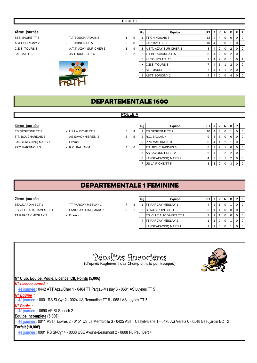# **4ème journée**

ASTT SORIGNY 2 - TT CHINONAIS 5 2 C.E.S. TOURS 3 4 A.T.T. AZAY-SUR-CHER 3

# STE MAURE TT 5 **FLAT SHOUCHARDAIS 5** 1

- 
- LARCAY T.T. 3 4S TOURS T.T. 16 8 2 T.T BOUCHARDAIS 5 8 4 2 0 2 0 0



|   | Rg | Equipe                   | PT | J | ٧              | N        | D        | Ρ        | F        |
|---|----|--------------------------|----|---|----------------|----------|----------|----------|----------|
| 9 |    | <b>TT CHINONAIS 5</b>    | 12 | 4 | $\overline{4}$ | $\Omega$ | $\Omega$ | 0        | 0        |
| 8 | 2  | LARCAY T.T. 3            | 10 | 4 | 3              | $\Omega$ | 1        | $\Omega$ | 0        |
| 9 | 3  | A.T.T. AZAY-SUR-CHER 3   | 8  | 4 | $\overline{2}$ | $\Omega$ | 2        | 0        | 0        |
| 2 |    | <b>T.T BOUCHARDAIS 5</b> | 8  | 4 | $\overline{2}$ | $\Omega$ | 2        | 0        | 0        |
|   | 5  | 4S TOURS T.T. 16         | 7  | 4 | 2              | 0        | 1        | 0        |          |
|   | ۰  | C.E.S. TOURS 3           | 7  | 4 | 1              | 1        | 2        | $\Omega$ | 0        |
|   |    | <b>ISTE MAURE TT 5</b>   | 7  | 4 | 1              | 1        | 2        | $\Omega$ | $\Omega$ |
|   | 8  | <b>ASTT SORIGNY 2</b>    | 4  | 4 | $\Omega$       | $\Omega$ | 4        | $\Omega$ | $\Omega$ |
|   |    |                          |    |   |                |          |          |          |          |

# **DEPARTEMENTALE 1600**

**POULE A**

- 
- 
- -
- 
- 
- 
- 
- -

| 4ème journée         |                    |        | Rg |                          | Equipe               | <b>PT</b> |   |    | N        | D |   | PIF              |
|----------------------|--------------------|--------|----|--------------------------|----------------------|-----------|---|----|----------|---|---|------------------|
| ES OESIENNE TT 7     | - US LA RICHE TT 5 | 6<br>4 |    | <b>IES OESIENNE TT 7</b> |                      | 10        | 4 | -3 | $\Omega$ |   |   | $\overline{1}$ 0 |
| T.T. BOUCHARDAIS 6   | - AS SAVONNIERES 2 | 5<br>5 |    | R.C. BALLAN 4            |                      | 9         | 3 | 3  | 0        |   | 0 | $\overline{1}$ 0 |
| LANGEAIS-CINQ MARS 7 | - Exempt           |        |    | <b>PPC MARTINOIS 3</b>   |                      | 8         |   |    |          |   |   | l 0 l            |
| PPC MARTINOIS 3      | - R.C. BALLAN 4    | 4<br>6 |    |                          | T.T. BOUCHARDAIS 6   | 8         | 3 |    |          |   |   | $\overline{1}$ 0 |
|                      |                    |        |    | 5 AS SAVONNIERES 2       |                      | 6         |   |    |          |   |   | $\overline{1}$ 0 |
|                      |                    |        |    | 6 I                      | LANGEAIS-CINQ MARS 7 | 4         | 3 |    |          |   |   | $\overline{1}$ 0 |
|                      |                    |        |    | US LA RICHE TT 5         |                      |           |   |    |          |   |   | $\overline{1}$ 0 |

# **DEPARTEMENTALE 1 FEMININE**

# **2ème journée**

BEAUJARDIN BCT 1 - TT PARCAY MESLAY 1 2 3 ES VILLE AUX DAMES TT 1 - LANGEAIS-CINQ MARS 1 9 1 TT PARCAY MESLAY 2 - Exempt

- 
- 
- -

| Rg | Equipe                         | P٦ |   |  |  |  |
|----|--------------------------------|----|---|--|--|--|
|    | <b>ITT PARCAY MESLAY 1</b>     |    | c |  |  |  |
| 2  | <b>BEAUJARDIN BCT 1</b>        | 3  |   |  |  |  |
|    | <b>ES VILLE AUX DAMES TT 1</b> | 3  |   |  |  |  |
|    | TT PARCAY MESLAY 2             |    |   |  |  |  |
|    | LANGEAIS-CINQ MARS 1           |    |   |  |  |  |